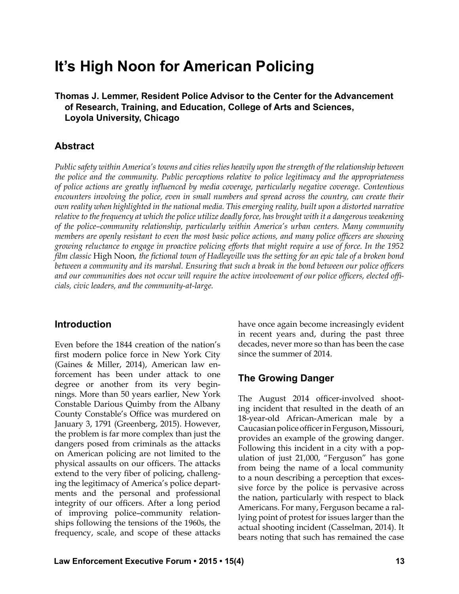# **It's High Noon for American Policing**

**Thomas J. Lemmer, Resident Police Advisor to the Center for the Advancement of Research, Training, and Education, College of Arts and Sciences, Loyola University, Chicago**

# **Abstract**

*Public safety within America's towns and cities relies heavily upon the strength of the relationship between the police and the community. Public perceptions relative to police legitimacy and the appropriateness of police actions are greatly influenced by media coverage, particularly negative coverage. Contentious encounters involving the police, even in small numbers and spread across the country, can create their own reality when highlighted in the national media. This emerging reality, built upon a distorted narrative relative to the frequency at which the police utilize deadly force, has brought with it a dangerous weakening of the police–community relationship, particularly within America's urban centers. Many community members are openly resistant to even the most basic police actions, and many police officers are showing growing reluctance to engage in proactive policing efforts that might require a use of force. In the 1952 film classic* High Noon*, the fictional town of Hadleyville was the setting for an epic tale of a broken bond between a community and its marshal. Ensuring that such a break in the bond between our police officers and our communities does not occur will require the active involvement of our police officers, elected officials, civic leaders, and the community-at-large.*

## **Introduction**

Even before the 1844 creation of the nation's first modern police force in New York City (Gaines & Miller, 2014), American law enforcement has been under attack to one degree or another from its very beginnings. More than 50 years earlier, New York Constable Darious Quimby from the Albany County Constable's Office was murdered on January 3, 1791 (Greenberg, 2015). However, the problem is far more complex than just the dangers posed from criminals as the attacks on American policing are not limited to the physical assaults on our officers. The attacks extend to the very fiber of policing, challenging the legitimacy of America's police departments and the personal and professional integrity of our officers. After a long period of improving police–community relationships following the tensions of the 1960s, the frequency, scale, and scope of these attacks

have once again become increasingly evident in recent years and, during the past three decades, never more so than has been the case since the summer of 2014.

# **The Growing Danger**

The August 2014 officer-involved shooting incident that resulted in the death of an 18-year-old African-American male by a Caucasian police officer in Ferguson, Missouri, provides an example of the growing danger. Following this incident in a city with a population of just 21,000, "Ferguson" has gone from being the name of a local community to a noun describing a perception that excessive force by the police is pervasive across the nation, particularly with respect to black Americans. For many, Ferguson became a rallying point of protest for issues larger than the actual shooting incident (Casselman, 2014). It bears noting that such has remained the case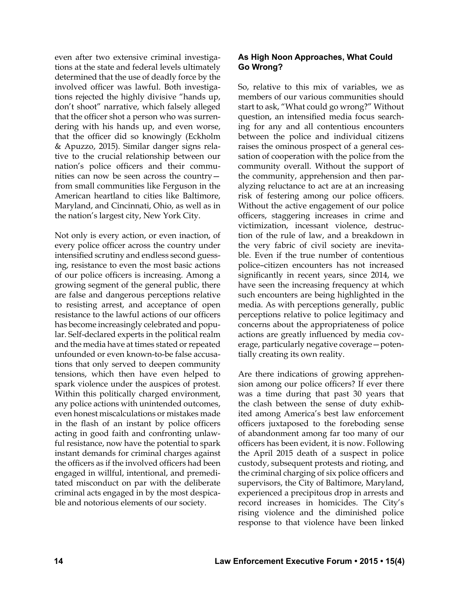even after two extensive criminal investigations at the state and federal levels ultimately determined that the use of deadly force by the involved officer was lawful. Both investigations rejected the highly divisive "hands up, don't shoot" narrative, which falsely alleged that the officer shot a person who was surrendering with his hands up, and even worse, that the officer did so knowingly (Eckholm & Apuzzo, 2015). Similar danger signs relative to the crucial relationship between our nation's police officers and their communities can now be seen across the country from small communities like Ferguson in the American heartland to cities like Baltimore, Maryland, and Cincinnati, Ohio, as well as in the nation's largest city, New York City.

Not only is every action, or even inaction, of every police officer across the country under intensified scrutiny and endless second guessing, resistance to even the most basic actions of our police officers is increasing. Among a growing segment of the general public, there are false and dangerous perceptions relative to resisting arrest, and acceptance of open resistance to the lawful actions of our officers has become increasingly celebrated and popular. Self-declared experts in the political realm and the media have at times stated or repeated unfounded or even known-to-be false accusations that only served to deepen community tensions, which then have even helped to spark violence under the auspices of protest. Within this politically charged environment, any police actions with unintended outcomes, even honest miscalculations or mistakes made in the flash of an instant by police officers acting in good faith and confronting unlawful resistance, now have the potential to spark instant demands for criminal charges against the officers as if the involved officers had been engaged in willful, intentional, and premeditated misconduct on par with the deliberate criminal acts engaged in by the most despicable and notorious elements of our society.

#### **As High Noon Approaches, What Could Go Wrong?**

So, relative to this mix of variables, we as members of our various communities should start to ask, "What could go wrong?" Without question, an intensified media focus searching for any and all contentious encounters between the police and individual citizens raises the ominous prospect of a general cessation of cooperation with the police from the community overall. Without the support of the community, apprehension and then paralyzing reluctance to act are at an increasing risk of festering among our police officers. Without the active engagement of our police officers, staggering increases in crime and victimization, incessant violence, destruction of the rule of law, and a breakdown in the very fabric of civil society are inevitable. Even if the true number of contentious police–citizen encounters has not increased significantly in recent years, since 2014, we have seen the increasing frequency at which such encounters are being highlighted in the media. As with perceptions generally, public perceptions relative to police legitimacy and concerns about the appropriateness of police actions are greatly influenced by media coverage, particularly negative coverage—potentially creating its own reality.

Are there indications of growing apprehension among our police officers? If ever there was a time during that past 30 years that the clash between the sense of duty exhibited among America's best law enforcement officers juxtaposed to the foreboding sense of abandonment among far too many of our officers has been evident, it is now. Following the April 2015 death of a suspect in police custody, subsequent protests and rioting, and the criminal charging of six police officers and supervisors, the City of Baltimore, Maryland, experienced a precipitous drop in arrests and record increases in homicides. The City's rising violence and the diminished police response to that violence have been linked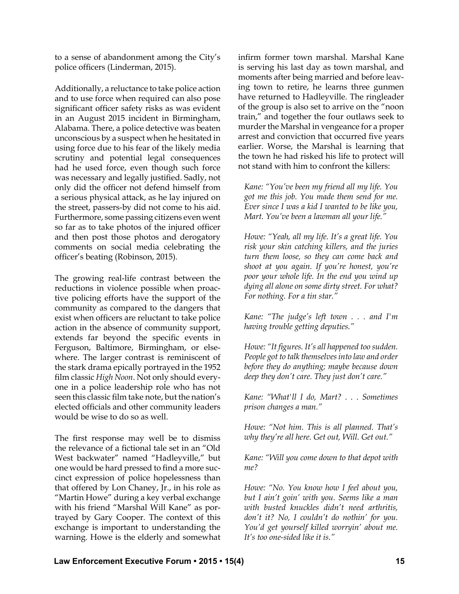to a sense of abandonment among the City's police officers (Linderman, 2015).

Additionally, a reluctance to take police action and to use force when required can also pose significant officer safety risks as was evident in an August 2015 incident in Birmingham, Alabama. There, a police detective was beaten unconscious by a suspect when he hesitated in using force due to his fear of the likely media scrutiny and potential legal consequences had he used force, even though such force was necessary and legally justified. Sadly, not only did the officer not defend himself from a serious physical attack, as he lay injured on the street, passers-by did not come to his aid. Furthermore, some passing citizens even went so far as to take photos of the injured officer and then post those photos and derogatory comments on social media celebrating the officer's beating (Robinson, 2015).

The growing real-life contrast between the reductions in violence possible when proactive policing efforts have the support of the community as compared to the dangers that exist when officers are reluctant to take police action in the absence of community support, extends far beyond the specific events in Ferguson, Baltimore, Birmingham, or elsewhere. The larger contrast is reminiscent of the stark drama epically portrayed in the 1952 film classic *High Noon*. Not only should everyone in a police leadership role who has not seen this classic film take note, but the nation's elected officials and other community leaders would be wise to do so as well.

The first response may well be to dismiss the relevance of a fictional tale set in an "Old West backwater" named "Hadleyville," but one would be hard pressed to find a more succinct expression of police hopelessness than that offered by Lon Chaney, Jr., in his role as "Martin Howe" during a key verbal exchange with his friend "Marshal Will Kane" as portrayed by Gary Cooper. The context of this exchange is important to understanding the warning. Howe is the elderly and somewhat

infirm former town marshal. Marshal Kane is serving his last day as town marshal, and moments after being married and before leaving town to retire, he learns three gunmen have returned to Hadleyville. The ringleader of the group is also set to arrive on the "noon train," and together the four outlaws seek to murder the Marshal in vengeance for a proper arrest and conviction that occurred five years earlier. Worse, the Marshal is learning that the town he had risked his life to protect will not stand with him to confront the killers:

*Kane: "You've been my friend all my life. You got me this job. You made them send for me. Ever since I was a kid I wanted to be like you, Mart. You've been a lawman all your life."*

*Howe: "Yeah, all my life. It's a great life. You risk your skin catching killers, and the juries turn them loose, so they can come back and shoot at you again. If you're honest, you're poor your whole life. In the end you wind up dying all alone on some dirty street. For what? For nothing. For a tin star."*

*Kane: "The judge's left town . . . and I'm having trouble getting deputies."*

*Howe: "It figures. It's all happened too sudden. People got to talk themselves into law and order before they do anything; maybe because down deep they don't care. They just don't care."*

*Kane: "What'll I do, Mart? . . . Sometimes prison changes a man."*

*Howe: "Not him. This is all planned. That's why they're all here. Get out, Will. Get out."*

*Kane: "Will you come down to that depot with me?*

*Howe: "No. You know how I feel about you, but I ain't goin' with you. Seems like a man with busted knuckles didn't need arthritis, don't it? No, I couldn't do nothin' for you. You'd get yourself killed worryin' about me. It's too one-sided like it is."*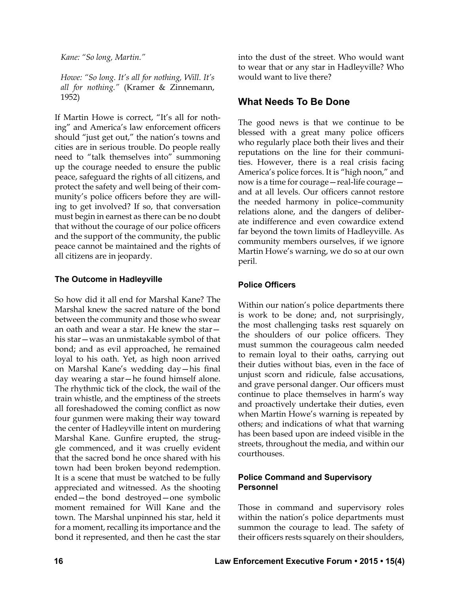*Kane: "So long, Martin."*

*Howe: "So long. It's all for nothing, Will. It's all for nothing."* (Kramer & Zinnemann, 1952)

If Martin Howe is correct, "It's all for nothing" and America's law enforcement officers should "just get out," the nation's towns and cities are in serious trouble. Do people really need to "talk themselves into" summoning up the courage needed to ensure the public peace, safeguard the rights of all citizens, and protect the safety and well being of their community's police officers before they are willing to get involved? If so, that conversation must begin in earnest as there can be no doubt that without the courage of our police officers and the support of the community, the public peace cannot be maintained and the rights of all citizens are in jeopardy.

#### **The Outcome in Hadleyville**

So how did it all end for Marshal Kane? The Marshal knew the sacred nature of the bond between the community and those who swear an oath and wear a star. He knew the star his star—was an unmistakable symbol of that bond; and as evil approached, he remained loyal to his oath. Yet, as high noon arrived on Marshal Kane's wedding day—his final day wearing a star—he found himself alone. The rhythmic tick of the clock, the wail of the train whistle, and the emptiness of the streets all foreshadowed the coming conflict as now four gunmen were making their way toward the center of Hadleyville intent on murdering Marshal Kane. Gunfire erupted, the struggle commenced, and it was cruelly evident that the sacred bond he once shared with his town had been broken beyond redemption. It is a scene that must be watched to be fully appreciated and witnessed. As the shooting ended—the bond destroyed—one symbolic moment remained for Will Kane and the town. The Marshal unpinned his star, held it for a moment, recalling its importance and the bond it represented, and then he cast the star

into the dust of the street. Who would want to wear that or any star in Hadleyville? Who would want to live there?

# **What Needs To Be Done**

The good news is that we continue to be blessed with a great many police officers who regularly place both their lives and their reputations on the line for their communities. However, there is a real crisis facing America's police forces. It is "high noon," and now is a time for courage—real-life courage and at all levels. Our officers cannot restore the needed harmony in police–community relations alone, and the dangers of deliberate indifference and even cowardice extend far beyond the town limits of Hadleyville. As community members ourselves, if we ignore Martin Howe's warning, we do so at our own peril.

#### **Police Officers**

Within our nation's police departments there is work to be done; and, not surprisingly, the most challenging tasks rest squarely on the shoulders of our police officers. They must summon the courageous calm needed to remain loyal to their oaths, carrying out their duties without bias, even in the face of unjust scorn and ridicule, false accusations, and grave personal danger. Our officers must continue to place themselves in harm's way and proactively undertake their duties, even when Martin Howe's warning is repeated by others; and indications of what that warning has been based upon are indeed visible in the streets, throughout the media, and within our courthouses.

#### **Police Command and Supervisory Personnel**

Those in command and supervisory roles within the nation's police departments must summon the courage to lead. The safety of their officers rests squarely on their shoulders,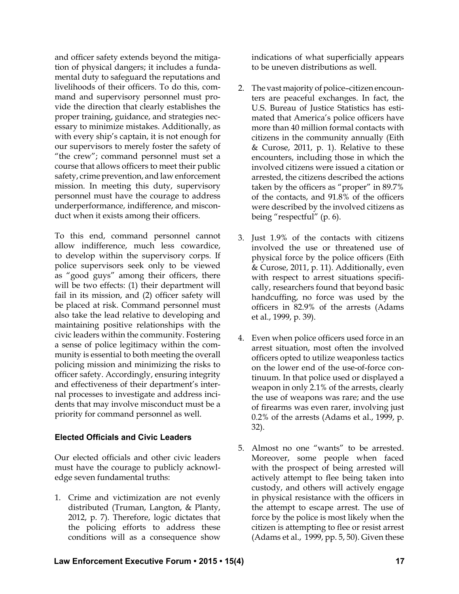and officer safety extends beyond the mitigation of physical dangers; it includes a fundamental duty to safeguard the reputations and livelihoods of their officers. To do this, command and supervisory personnel must provide the direction that clearly establishes the proper training, guidance, and strategies necessary to minimize mistakes. Additionally, as with every ship's captain, it is not enough for our supervisors to merely foster the safety of "the crew"; command personnel must set a course that allows officers to meet their public safety, crime prevention, and law enforcement mission. In meeting this duty, supervisory personnel must have the courage to address underperformance, indifference, and misconduct when it exists among their officers.

To this end, command personnel cannot allow indifference, much less cowardice, to develop within the supervisory corps. If police supervisors seek only to be viewed as "good guys" among their officers, there will be two effects: (1) their department will fail in its mission, and (2) officer safety will be placed at risk. Command personnel must also take the lead relative to developing and maintaining positive relationships with the civic leaders within the community. Fostering a sense of police legitimacy within the community is essential to both meeting the overall policing mission and minimizing the risks to officer safety. Accordingly, ensuring integrity and effectiveness of their department's internal processes to investigate and address incidents that may involve misconduct must be a priority for command personnel as well.

#### **Elected Officials and Civic Leaders**

Our elected officials and other civic leaders must have the courage to publicly acknowledge seven fundamental truths:

1. Crime and victimization are not evenly distributed (Truman, Langton, & Planty, 2012, p. 7). Therefore, logic dictates that the policing efforts to address these conditions will as a consequence show

indications of what superficially appears to be uneven distributions as well.

- 2. The vast majority of police–citizen encounters are peaceful exchanges. In fact, the U.S. Bureau of Justice Statistics has estimated that America's police officers have more than 40 million formal contacts with citizens in the community annually (Eith & Curose, 2011, p. 1). Relative to these encounters, including those in which the involved citizens were issued a citation or arrested, the citizens described the actions taken by the officers as "proper" in 89.7% of the contacts, and 91.8% of the officers were described by the involved citizens as being "respectful" (p. 6).
- 3. Just 1.9% of the contacts with citizens involved the use or threatened use of physical force by the police officers (Eith & Curose, 2011, p. 11). Additionally, even with respect to arrest situations specifically, researchers found that beyond basic handcuffing, no force was used by the officers in 82.9% of the arrests (Adams et al., 1999, p. 39).
- 4. Even when police officers used force in an arrest situation, most often the involved officers opted to utilize weaponless tactics on the lower end of the use-of-force continuum. In that police used or displayed a weapon in only 2.1% of the arrests, clearly the use of weapons was rare; and the use of firearms was even rarer, involving just 0.2% of the arrests (Adams et al., 1999, p. 32).
- 5. Almost no one "wants" to be arrested. Moreover, some people when faced with the prospect of being arrested will actively attempt to flee being taken into custody, and others will actively engage in physical resistance with the officers in the attempt to escape arrest. The use of force by the police is most likely when the citizen is attempting to flee or resist arrest (Adams et al., 1999, pp. 5, 50). Given these

#### **Law Enforcement Executive Forum • 2015 • 15(4) 17**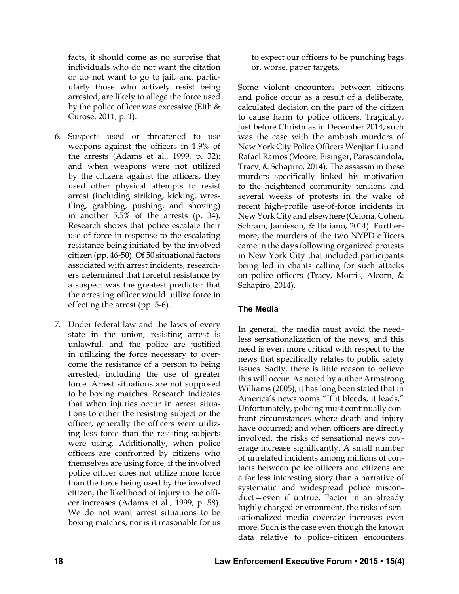facts, it should come as no surprise that individuals who do not want the citation or do not want to go to jail, and particularly those who actively resist being arrested, are likely to allege the force used by the police officer was excessive (Eith & Curose, 2011, p. 1).

- 6. Suspects used or threatened to use weapons against the officers in 1.9% of the arrests (Adams et al., 1999, p. 32); and when weapons were not utilized by the citizens against the officers, they used other physical attempts to resist arrest (including striking, kicking, wrestling, grabbing, pushing, and shoving) in another 5.5% of the arrests (p. 34). Research shows that police escalate their use of force in response to the escalating resistance being initiated by the involved citizen (pp. 46-50). Of 50 situational factors associated with arrest incidents, researchers determined that forceful resistance by a suspect was the greatest predictor that the arresting officer would utilize force in effecting the arrest (pp. 5-6).
- 7. Under federal law and the laws of every state in the union, resisting arrest is unlawful, and the police are justified in utilizing the force necessary to overcome the resistance of a person to being arrested, including the use of greater force. Arrest situations are not supposed to be boxing matches. Research indicates that when injuries occur in arrest situations to either the resisting subject or the officer, generally the officers were utilizing less force than the resisting subjects were using. Additionally, when police officers are confronted by citizens who themselves are using force, if the involved police officer does not utilize more force than the force being used by the involved citizen, the likelihood of injury to the officer increases (Adams et al., 1999, p. 58). We do not want arrest situations to be boxing matches, nor is it reasonable for us

to expect our officers to be punching bags or, worse, paper targets.

Some violent encounters between citizens and police occur as a result of a deliberate, calculated decision on the part of the citizen to cause harm to police officers. Tragically, just before Christmas in December 2014, such was the case with the ambush murders of New York City Police Officers Wenjian Liu and Rafael Ramos (Moore, Eisinger, Parascandola, Tracy, & Schapiro, 2014). The assassin in these murders specifically linked his motivation to the heightened community tensions and several weeks of protests in the wake of recent high-profile use-of-force incidents in New York City and elsewhere (Celona, Cohen, Schram, Jamieson, & Italiano, 2014). Furthermore, the murders of the two NYPD officers came in the days following organized protests in New York City that included participants being led in chants calling for such attacks on police officers (Tracy, Morris, Alcorn, & Schapiro, 2014).

## **The Media**

In general, the media must avoid the needless sensationalization of the news, and this need is even more critical with respect to the news that specifically relates to public safety issues. Sadly, there is little reason to believe this will occur. As noted by author Armstrong Williams (2005), it has long been stated that in America's newsrooms "If it bleeds, it leads." Unfortunately, policing must continually confront circumstances where death and injury have occurred; and when officers are directly involved, the risks of sensational news coverage increase significantly. A small number of unrelated incidents among millions of contacts between police officers and citizens are a far less interesting story than a narrative of systematic and widespread police misconduct—even if untrue. Factor in an already highly charged environment, the risks of sensationalized media coverage increases even more. Such is the case even though the known data relative to police–citizen encounters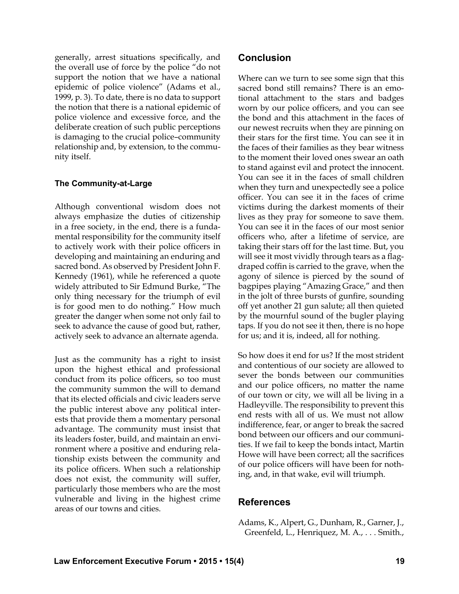generally, arrest situations specifically, and the overall use of force by the police "do not support the notion that we have a national epidemic of police violence" (Adams et al., 1999, p. 3). To date, there is no data to support the notion that there is a national epidemic of police violence and excessive force, and the deliberate creation of such public perceptions is damaging to the crucial police–community relationship and, by extension, to the community itself.

#### **The Community-at-Large**

Although conventional wisdom does not always emphasize the duties of citizenship in a free society, in the end, there is a fundamental responsibility for the community itself to actively work with their police officers in developing and maintaining an enduring and sacred bond. As observed by President John F. Kennedy (1961), while he referenced a quote widely attributed to Sir Edmund Burke, "The only thing necessary for the triumph of evil is for good men to do nothing." How much greater the danger when some not only fail to seek to advance the cause of good but, rather, actively seek to advance an alternate agenda.

Just as the community has a right to insist upon the highest ethical and professional conduct from its police officers, so too must the community summon the will to demand that its elected officials and civic leaders serve the public interest above any political interests that provide them a momentary personal advantage. The community must insist that its leaders foster, build, and maintain an environment where a positive and enduring relationship exists between the community and its police officers. When such a relationship does not exist, the community will suffer, particularly those members who are the most vulnerable and living in the highest crime areas of our towns and cities.

# **Conclusion**

Where can we turn to see some sign that this sacred bond still remains? There is an emotional attachment to the stars and badges worn by our police officers, and you can see the bond and this attachment in the faces of our newest recruits when they are pinning on their stars for the first time. You can see it in the faces of their families as they bear witness to the moment their loved ones swear an oath to stand against evil and protect the innocent. You can see it in the faces of small children when they turn and unexpectedly see a police officer. You can see it in the faces of crime victims during the darkest moments of their lives as they pray for someone to save them. You can see it in the faces of our most senior officers who, after a lifetime of service, are taking their stars off for the last time. But, you will see it most vividly through tears as a flagdraped coffin is carried to the grave, when the agony of silence is pierced by the sound of bagpipes playing "Amazing Grace," and then in the jolt of three bursts of gunfire, sounding off yet another 21 gun salute; all then quieted by the mournful sound of the bugler playing taps. If you do not see it then, there is no hope for us; and it is, indeed, all for nothing.

So how does it end for us? If the most strident and contentious of our society are allowed to sever the bonds between our communities and our police officers, no matter the name of our town or city, we will all be living in a Hadleyville. The responsibility to prevent this end rests with all of us. We must not allow indifference, fear, or anger to break the sacred bond between our officers and our communities. If we fail to keep the bonds intact, Martin Howe will have been correct; all the sacrifices of our police officers will have been for nothing, and, in that wake, evil will triumph.

# **References**

Adams, K., Alpert, G., Dunham, R., Garner, J., Greenfeld, L., Henriquez, M. A., . . . Smith.,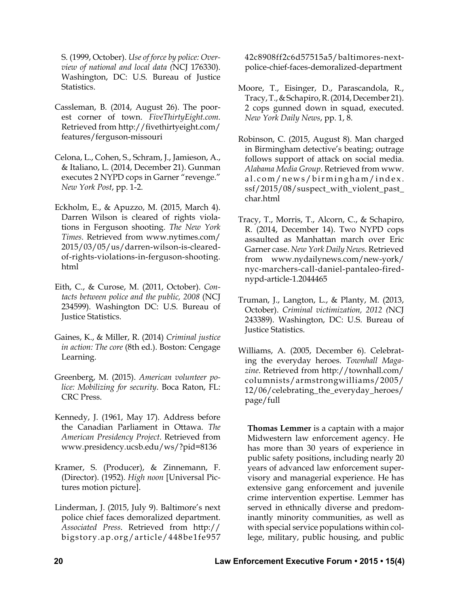S. (1999, October). *Use of force by police: Overview of national and local data (*NCJ 176330). Washington, DC: U.S. Bureau of Justice Statistics.

- Cassleman, B. (2014, August 26). The poorest corner of town. *FiveThirtyEight.com*. Retrieved from [http://fivethirtyeight.com/](http://fivethirtyeight.com/features/ferguson-missouri/) [features/ferguson-missouri](http://fivethirtyeight.com/features/ferguson-missouri/)
- Celona, L., Cohen, S., Schram, J., Jamieson, A., & Italiano, L. (2014, December 21). Gunman executes 2 NYPD cops in Garner "revenge." *New York Post*, pp. 1-2.
- Eckholm, E., & Apuzzo, M. (2015, March 4). Darren Wilson is cleared of rights violations in Ferguson shooting. *The New York Times*. Retrieved from [www.nytimes.com/](www.nytimes.com/2015/03/05/us/darren-wilson-is-cleared-of-rights-violations-in-ferguson-shooting.html
) [2015/03/05/us/darren-wilson-is-cleared](www.nytimes.com/2015/03/05/us/darren-wilson-is-cleared-of-rights-violations-in-ferguson-shooting.html
)[of-rights-violations-in-ferguson-shooting.](www.nytimes.com/2015/03/05/us/darren-wilson-is-cleared-of-rights-violations-in-ferguson-shooting.html
) [html](www.nytimes.com/2015/03/05/us/darren-wilson-is-cleared-of-rights-violations-in-ferguson-shooting.html
)
- Eith, C., & Curose, M. (2011, October). *Contacts between police and the public, 2008* (NCJ 234599). Washington DC: U.S. Bureau of Justice Statistics.
- Gaines, K., & Miller, R. (2014) *Criminal justice in action: The core* (8th ed.). Boston: Cengage Learning.
- Greenberg, M. (2015). *American volunteer police: Mobilizing for security*. Boca Raton, FL: CRC Press.
- Kennedy, J. (1961, May 17). Address before the Canadian Parliament in Ottawa. *The American Presidency Project*. Retrieved from <www.presidency.ucsb.edu/ws/?pid=8136>
- Kramer, S. (Producer), & Zinnemann, F. (Director). (1952). *High noon* [Universal Pictures motion picture].
- Linderman, J. (2015, July 9). Baltimore's next police chief faces demoralized department. *Associated Press*. Retrieved from [http://](http://bigstory.ap.org/article/448be1fe957c42c8908
ff2c6d57515a5/baltimores-next-police-
chief-faces-demoralized-department
) [bigstory.ap.org/article/448be1fe957](http://bigstory.ap.org/article/448be1fe957c42c8908
ff2c6d57515a5/baltimores-next-police-
chief-faces-demoralized-department
)

[42c8908ff2c6d57515a5/baltimores-next](http://bigstory.ap.org/article/448be1fe957c42c8908
ff2c6d57515a5/baltimores-next-police-
chief-faces-demoralized-department
)[police-chief-faces-demoralized-department](http://bigstory.ap.org/article/448be1fe957c42c8908
ff2c6d57515a5/baltimores-next-police-
chief-faces-demoralized-department
)

- Moore, T., Eisinger, D., Parascandola, R., Tracy, T., & Schapiro, R. (2014, December 21). 2 cops gunned down in squad, executed. *New York Daily News*, pp. 1, 8.
- Robinson, C. (2015, August 8). Man charged in Birmingham detective's beating; outrage follows support of attack on social media. *Alabama Media Group*. Retrieved from [www.](www.al.com/news/birmingham/index.ssf/2015/08/suspect_with_violent_past_char.html) [al.com/news/birmingham/index.](www.al.com/news/birmingham/index.ssf/2015/08/suspect_with_violent_past_char.html) [ssf/2015/08/suspect\\_with\\_violent\\_past\\_](www.al.com/news/birmingham/index.ssf/2015/08/suspect_with_violent_past_char.html) [char.html](www.al.com/news/birmingham/index.ssf/2015/08/suspect_with_violent_past_char.html)
- Tracy, T., Morris, T., Alcorn, C., & Schapiro, R. (2014, December 14). Two NYPD cops assaulted as Manhattan march over Eric Garner case. *New York Daily News.* Retrieved from [www.nydailynews.com/new-york/](http://www.nydailynews.com/new-york/nyc-marchers-call-daniel-pantaleo-fired-nypd-article-1.2044465) [nyc-marchers-call-daniel-pantaleo-fired](http://www.nydailynews.com/new-york/nyc-marchers-call-daniel-pantaleo-fired-nypd-article-1.2044465)[nypd-article-1.2044465](http://www.nydailynews.com/new-york/nyc-marchers-call-daniel-pantaleo-fired-nypd-article-1.2044465)
- Truman, J., Langton, L., & Planty, M. (2013, October). *Criminal victimization, 2012 (*NCJ 243389). Washington, DC: U.S. Bureau of Justice Statistics.
- Williams, A. (2005, December 6). Celebrating the everyday heroes. *Townhall Magazine*. Retrieved from [http://townhall.com/](http://townhall.com/columnists/armstrongwilliams/2005/12/06/celebrating_the_everyday_heroes/page/full
) [columnists/armstrongwilliams/2005/](http://townhall.com/columnists/armstrongwilliams/2005/12/06/celebrating_the_everyday_heroes/page/full
) [12/06/celebrating\\_the\\_everyday\\_heroes/](http://townhall.com/columnists/armstrongwilliams/2005/12/06/celebrating_the_everyday_heroes/page/full
) [page/full](http://townhall.com/columnists/armstrongwilliams/2005/12/06/celebrating_the_everyday_heroes/page/full
)

**Thomas Lemmer** is a captain with a major Midwestern law enforcement agency. He has more than 30 years of experience in public safety positions, including nearly 20 years of advanced law enforcement supervisory and managerial experience. He has extensive gang enforcement and juvenile crime intervention expertise. Lemmer has served in ethnically diverse and predominantly minority communities, as well as with special service populations within college, military, public housing, and public